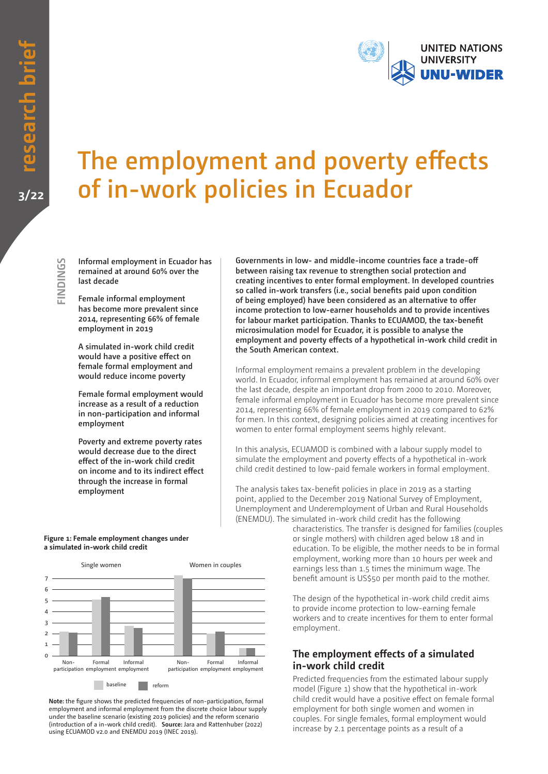

# **The employment and poverty effects of in-work policies in Ecuador**

**Informal employment in Ecuador has remained at around 60% over the last decade**

**Female informal employment has become more prevalent since 2014, representing 66% of female employment in 2019**

**A simulated in-work child credit would have a positive effect on female formal employment and would reduce income poverty**

**Female formal employment would increase as a result of a reduction in non-participation and informal employment**

**Poverty and extreme poverty rates would decrease due to the direct effect of the in-work child credit on income and to its indirect effect through the increase in formal employment**

**Governments in low- and middle-income countries face a trade-off between raising tax revenue to strengthen social protection and creating incentives to enter formal employment. In developed countries so called in-work transfers (i.e., social benefits paid upon condition of being employed) have been considered as an alternative to offer income protection to low-earner households and to provide incentives for labour market participation. Thanks to ECUAMOD, the tax-benefit microsimulation model for Ecuador, it is possible to analyse the employment and poverty effects of a hypothetical in-work child credit in the South American context.**

Informal employment remains a prevalent problem in the developing world. In Ecuador, informal employment has remained at around 60% over the last decade, despite an important drop from 2000 to 2010. Moreover, female informal employment in Ecuador has become more prevalent since 2014, representing 66% of female employment in 2019 compared to 62% for men. In this context, designing policies aimed at creating incentives for women to enter formal employment seems highly relevant.

In this analysis, ECUAMOD is combined with a labour supply model to simulate the employment and poverty effects of a hypothetical in-work child credit destined to low-paid female workers in formal employment.

The analysis takes tax-benefit policies in place in 2019 as a starting point, applied to the December 2019 National Survey of Employment, Unemployment and Underemployment of Urban and Rural Households (ENEMDU). The simulated in-work child credit has the following

> characteristics. The transfer is designed for families (couples or single mothers) with children aged below 18 and in education. To be eligible, the mother needs to be in formal employment, working more than 10 hours per week and earnings less than 1.5 times the minimum wage. The benefit amount is US\$50 per month paid to the mother.

The design of the hypothetical in-work child credit aims to provide income protection to low-earning female workers and to create incentives for them to enter formal employment.

### **The employment effects of a simulated in-work child credit**

Predicted frequencies from the estimated labour supply model (Figure 1) show that the hypothetical in-work child credit would have a positive effect on female formal employment for both single women and women in couples. For single females, formal employment would increase by 2.1 percentage points as a result of a

#### **Figure 1: Female employment changes under a simulated in-work child credit**



**Note:** the figure shows the predicted frequencies of non-participation, formal employment and informal employment from the discrete choice labour supply under the baseline scenario (existing 2019 policies) and the reform scenario (introduction of a in-work child credit). **Source:** Jara and Rattenhuber (2022) using ECUAMOD v2.0 and ENEMDU 2019 (INEC 2019).